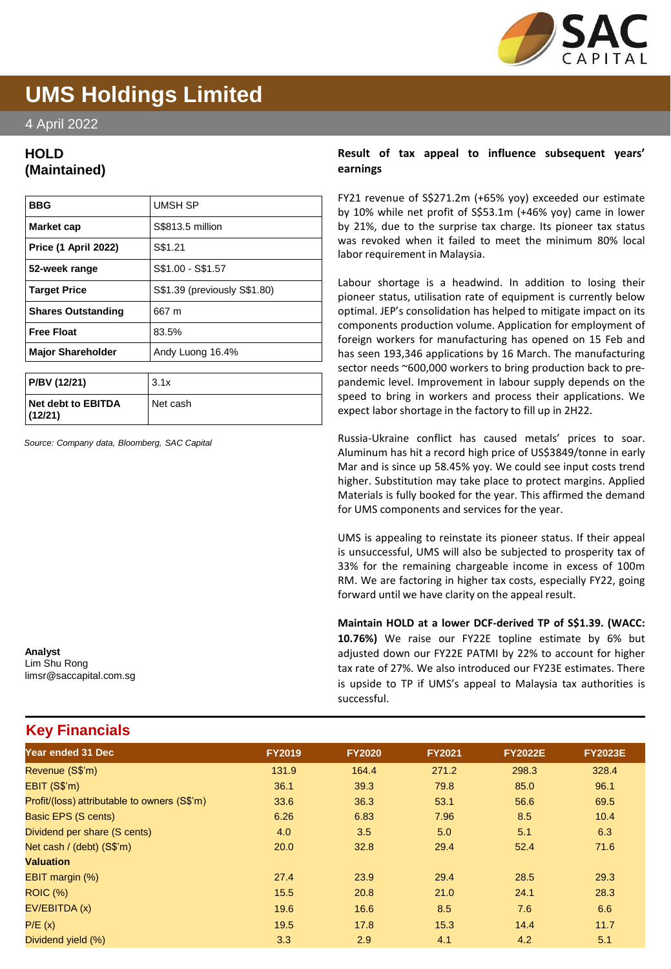

# **UMS Holdings Limited**

4 April 2022

## **HOLD (Maintained)**

| <b>BBG</b>                  | UMSH SP                      |
|-----------------------------|------------------------------|
| Market cap                  | S\$813.5 million             |
| <b>Price (1 April 2022)</b> | S\$1.21                      |
| 52-week range               | S\$1.00 - S\$1.57            |
| <b>Target Price</b>         | S\$1.39 (previously S\$1.80) |
| <b>Shares Outstanding</b>   | 667 m                        |
| <b>Free Float</b>           | 83.5%                        |
| <b>Major Shareholder</b>    | Andy Luong 16.4%             |
|                             |                              |

| P/BV (12/21)                  | 3.1x     |
|-------------------------------|----------|
| Net debt to EBITDA<br>(12/21) | Net cash |

*Source: Company data, Bloomberg, SAC Capital*

**Analyst** Lim Shu Rong limsr@saccapital.com.sg

**Key Financials**

### **Result of tax appeal to influence subsequent years' earnings**

FY21 revenue of S\$271.2m (+65% yoy) exceeded our estimate by 10% while net profit of S\$53.1m (+46% yoy) came in lower by 21%, due to the surprise tax charge. Its pioneer tax status was revoked when it failed to meet the minimum 80% local labor requirement in Malaysia.

Labour shortage is a headwind. In addition to losing their pioneer status, utilisation rate of equipment is currently below optimal. JEP's consolidation has helped to mitigate impact on its components production volume. Application for employment of foreign workers for manufacturing has opened on 15 Feb and has seen 193,346 applications by 16 March. The manufacturing sector needs ~600,000 workers to bring production back to prepandemic level. Improvement in labour supply depends on the speed to bring in workers and process their applications. We expect labor shortage in the factory to fill up in 2H22.

Russia-Ukraine conflict has caused metals' prices to soar. Aluminum has hit a record high price of US\$3849/tonne in early Mar and is since up 58.45% yoy. We could see input costs trend higher. Substitution may take place to protect margins. Applied Materials is fully booked for the year. This affirmed the demand for UMS components and services for the year.

UMS is appealing to reinstate its pioneer status. If their appeal is unsuccessful, UMS will also be subjected to prosperity tax of 33% for the remaining chargeable income in excess of 100m RM. We are factoring in higher tax costs, especially FY22, going forward until we have clarity on the appeal result.

**Maintain HOLD at a lower DCF-derived TP of S\$1.39. (WACC: 10.76%)** We raise our FY22E topline estimate by 6% but adjusted down our FY22E PATMI by 22% to account for higher tax rate of 27%. We also introduced our FY23E estimates. There is upside to TP if UMS's appeal to Malaysia tax authorities is successful.

| Year ended 31 Dec                            | <b>FY2019</b> | <b>FY2020</b> | <b>FY2021</b> | <b>FY2022E</b> | <b>FY2023E</b> |
|----------------------------------------------|---------------|---------------|---------------|----------------|----------------|
| Revenue (S\$'m)                              | 131.9         | 164.4         | 271.2         | 298.3          | 328.4          |
| EBIT (S\$'m)                                 | 36.1          | 39.3          | 79.8          | 85.0           | 96.1           |
| Profit/(loss) attributable to owners (S\$'m) | 33.6          | 36.3          | 53.1          | 56.6           | 69.5           |
| Basic EPS (S cents)                          | 6.26          | 6.83          | 7.96          | 8.5            | 10.4           |
| Dividend per share (S cents)                 | 4.0           | 3.5           | 5.0           | 5.1            | 6.3            |
| Net cash / (debt) (S\$'m)                    | 20.0          | 32.8          | 29.4          | 52.4           | 71.6           |
| <b>Valuation</b>                             |               |               |               |                |                |
| EBIT margin (%)                              | 27.4          | 23.9          | 29.4          | 28.5           | 29.3           |
| <b>ROIC (%)</b>                              | 15.5          | 20.8          | 21.0          | 24.1           | 28.3           |
| EV/EBITDA (x)                                | 19.6          | 16.6          | 8.5           | 7.6            | 6.6            |
| P/E(x)                                       | 19.5          | 17.8          | 15.3          | 14.4           | 11.7           |
| Dividend yield (%)                           | 3.3           | 2.9           | 4.1           | 4.2            | 5.1            |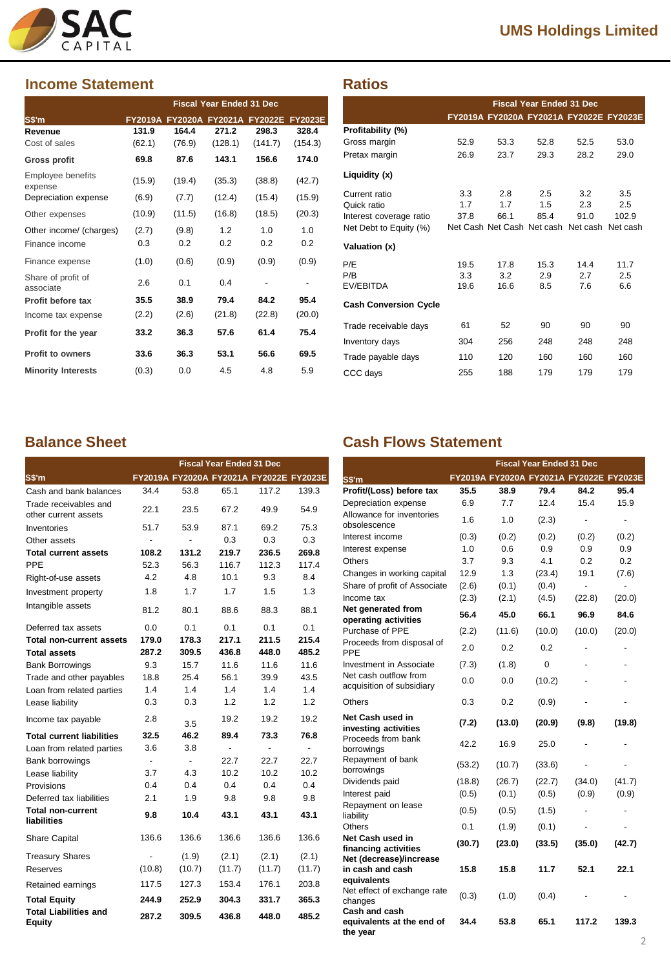

## **Income Statement**

|                                 | <b>Fiscal Year Ended 31 Dec</b> |                                 |         |         |                |
|---------------------------------|---------------------------------|---------------------------------|---------|---------|----------------|
| S\$'m                           |                                 | FY2019A FY2020A FY2021A FY2022E |         |         | <b>FY2023E</b> |
| Revenue                         | 131.9                           | 164.4                           | 271.2   | 298.3   | 328.4          |
| Cost of sales                   | (62.1)                          | (76.9)                          | (128.1) | (141.7) | (154.3)        |
| <b>Gross profit</b>             | 69.8                            | 87.6                            | 143.1   | 156.6   | 174.0          |
| Employee benefits<br>expense    | (15.9)                          | (19.4)                          | (35.3)  | (38.8)  | (42.7)         |
| Depreciation expense            | (6.9)                           | (7.7)                           | (12.4)  | (15.4)  | (15.9)         |
| Other expenses                  | (10.9)                          | (11.5)                          | (16.8)  | (18.5)  | (20.3)         |
| Other income/ (charges)         | (2.7)                           | (9.8)                           | 1.2     | 1.0     | 1.0            |
| Finance income                  | 0.3                             | 0.2                             | 0.2     | 0.2     | 0.2            |
| Finance expense                 | (1.0)                           | (0.6)                           | (0.9)   | (0.9)   | (0.9)          |
| Share of profit of<br>associate | 2.6                             | 0.1                             | 0.4     |         |                |
| Profit before tax               | 35.5                            | 38.9                            | 79.4    | 84.2    | 95.4           |
| Income tax expense              | (2.2)                           | (2.6)                           | (21.8)  | (22.8)  | (20.0)         |
| Profit for the year             | 33.2                            | 36.3                            | 57.6    | 61.4    | 75.4           |
| Profit to owners                | 33.6                            | 36.3                            | 53.1    | 56.6    | 69.5           |
| <b>Minority Interests</b>       | (0.3)                           | 0.0                             | 4.5     | 4.8     | 5.9            |

|                              |      |                                              | <b>Fiscal Year Ended 31 Dec</b> |      |       |
|------------------------------|------|----------------------------------------------|---------------------------------|------|-------|
|                              |      | FY2019A FY2020A FY2021A FY2022E FY2023E      |                                 |      |       |
| Profitability (%)            |      |                                              |                                 |      |       |
| Gross margin                 | 52.9 | 53.3                                         | 52.8                            | 52.5 | 53.0  |
| Pretax margin                | 26.9 | 23.7                                         | 29.3                            | 28.2 | 29.0  |
| Liquidity (x)                |      |                                              |                                 |      |       |
| Current ratio                | 3.3  | 2.8                                          | 2.5                             | 3.2  | 3.5   |
| Quick ratio                  | 1.7  | 1.7                                          | 1.5                             | 2.3  | 2.5   |
| Interest coverage ratio      | 37.8 | 66.1                                         | 85.4                            | 91.0 | 102.9 |
| Net Debt to Equity (%)       |      | Net Cash Net Cash Net cash Net cash Net cash |                                 |      |       |
| Valuation (x)                |      |                                              |                                 |      |       |
| P/E                          | 19.5 | 17.8                                         | 15.3                            | 14.4 | 11.7  |
| P/B                          | 3.3  | 3.2                                          | 2.9                             | 2.7  | 2.5   |
| EV/EBITDA                    | 19.6 | 16.6                                         | 8.5                             | 7.6  | 6.6   |
| <b>Cash Conversion Cycle</b> |      |                                              |                                 |      |       |
| Trade receivable days        | 61   | 52                                           | 90                              | 90   | 90    |
| Inventory days               | 304  | 256                                          | 248                             | 248  | 248   |
| Trade payable days           | 110  | 120                                          | 160                             | 160  | 160   |
| CCC days                     | 255  | 188                                          | 179                             | 179  | 179   |

|                                               |                |                | <b>Fiscal Year Ended 31 Dec</b> |                                         |                          |
|-----------------------------------------------|----------------|----------------|---------------------------------|-----------------------------------------|--------------------------|
| S\$'m                                         |                |                |                                 | FY2019A FY2020A FY2021A FY2022E FY2023E |                          |
| Cash and bank balances                        | 34.4           | 53.8           | 65.1                            | 117.2                                   | 139.3                    |
| Trade receivables and<br>other current assets | 22.1           | 23.5           | 67.2                            | 49.9                                    | 54.9                     |
| Inventories                                   | 51.7           | 53.9           | 87.1                            | 69.2                                    | 75.3                     |
| Other assets                                  |                |                | 0.3                             | 0.3                                     | 0.3                      |
| <b>Total current assets</b>                   | 108.2          | 131.2          | 219.7                           | 236.5                                   | 269.8                    |
| PPF                                           | 52.3           | 56.3           | 116.7                           | 112.3                                   | 117.4                    |
| Right-of-use assets                           | 4.2            | 4.8            | 10.1                            | 9.3                                     | 8.4                      |
| Investment property                           | 1.8            | 1.7            | 1.7                             | 1.5                                     | 1.3                      |
| Intangible assets                             | 81.2           | 80.1           | 88.6                            | 88.3                                    | 88.1                     |
| Deferred tax assets                           | 0.0            | 0.1            | 0.1                             | 0.1                                     | 0.1                      |
| <b>Total non-current assets</b>               | 179.0          | 178.3          | 217.1                           | 211.5                                   | 215.4                    |
| <b>Total assets</b>                           | 287.2          | 309.5          | 436.8                           | 448.0                                   | 485.2                    |
| <b>Bank Borrowings</b>                        | 9.3            | 15.7           | 11.6                            | 11.6                                    | 11.6                     |
| Trade and other payables                      | 18.8           | 25.4           | 56.1                            | 39.9                                    | 43.5                     |
| Loan from related parties                     | 1.4            | 1.4            | 1.4                             | 1.4                                     | 1.4                      |
| Lease liability                               | 0.3            | 0.3            | 1.2                             | 1.2                                     | 1.2                      |
| Income tax payable                            | 2.8            | 3.5            | 19.2                            | 19.2                                    | 19.2                     |
| <b>Total current liabilities</b>              | 32.5           | 46.2           | 89.4                            | 73.3                                    | 76.8                     |
| Loan from related parties                     | 3.6            | 3.8            | $\blacksquare$                  | $\blacksquare$                          | $\overline{\phantom{a}}$ |
| Bank borrowings                               | $\blacksquare$ | $\blacksquare$ | 22.7                            | 22.7                                    | 22.7                     |
| Lease liability                               | 3.7            | 4.3            | 10.2                            | 10.2                                    | 10.2                     |
| Provisions                                    | 0.4            | 0.4            | 0.4                             | 0.4                                     | 0.4                      |
| Deferred tax liabilities                      | 2.1            | 1.9            | 9.8                             | 9.8                                     | 9.8                      |
| <b>Total non-current</b><br>liabilities       | 9.8            | 10.4           | 43.1                            | 43.1                                    | 43.1                     |
| <b>Share Capital</b>                          | 136.6          | 136.6          | 136.6                           | 136.6                                   | 136.6                    |
| <b>Treasury Shares</b>                        |                | (1.9)          | (2.1)                           | (2.1)                                   | (2.1)                    |
| Reserves                                      | (10.8)         | (10.7)         | (11.7)                          | (11.7)                                  | (11.7)                   |
| Retained earnings                             | 117.5          | 127.3          | 153.4                           | 176.1                                   | 203.8                    |
| <b>Total Equity</b>                           | 244.9          | 252.9          | 304.3                           | 331.7                                   | 365.3                    |
| <b>Total Liabilities and</b><br>Equity        | 287.2          | 309.5          | 436.8                           | 448.0                                   | 485.2                    |

## **Balance Sheet Cash Flows Statement**

|                                                        |        |        | <b>Fiscal Year Ended 31 Dec</b> |                                         |                          |
|--------------------------------------------------------|--------|--------|---------------------------------|-----------------------------------------|--------------------------|
| S\$'m                                                  |        |        |                                 | FY2019A FY2020A FY2021A FY2022E FY2023E |                          |
| Profit/(Loss) before tax                               | 35.5   | 38.9   | 79.4                            | 84.2                                    | 95.4                     |
| Depreciation expense                                   | 6.9    | 7.7    | 12.4                            | 15.4                                    | 15.9                     |
| Allowance for inventories                              | 1.6    | 1.0    | (2.3)                           | ÷                                       | $\overline{\phantom{m}}$ |
| obsolescence                                           |        |        |                                 |                                         |                          |
| Interest income                                        | (0.3)  | (0.2)  | (0.2)                           | (0.2)                                   | (0.2)                    |
| Interest expense                                       | 1.0    | 0.6    | 0.9                             | 0.9                                     | 0.9                      |
| Others                                                 | 3.7    | 9.3    | 4.1                             | 0.2                                     | 0.2                      |
| Changes in working capital                             | 12.9   | 1.3    | (23.4)                          | 19.1                                    | (7.6)                    |
| Share of profit of Associate                           | (2.6)  | (0.1)  | (0.4)                           | ٠                                       | $\blacksquare$           |
| Income tax                                             | (2.3)  | (2.1)  | (4.5)                           | (22.8)                                  | (20.0)                   |
| Net generated from<br>operating activities             | 56.4   | 45.0   | 66.1                            | 96.9                                    | 84.6                     |
| Purchase of PPE                                        | (2.2)  | (11.6) | (10.0)                          | (10.0)                                  | (20.0)                   |
| Proceeds from disposal of<br>PPE                       | 2.0    | 0.2    | 0.2                             |                                         |                          |
| Investment in Associate                                | (7.3)  | (1.8)  | 0                               |                                         |                          |
| Net cash outflow from<br>acquisition of subsidiary     | 0.0    | 0.0    | (10.2)                          |                                         |                          |
| Others                                                 | 0.3    | 0.2    | (0.9)                           |                                         |                          |
| Net Cash used in<br>investing activities               | (7.2)  | (13.0) | (20.9)                          | (9.8)                                   | (19.8)                   |
| Proceeds from bank<br>borrowings                       | 42.2   | 16.9   | 25.0                            |                                         |                          |
| Repayment of bank<br>borrowings                        | (53.2) | (10.7) | (33.6)                          |                                         |                          |
| Dividends paid                                         | (18.8) | (26.7) | (22.7)                          | (34.0)                                  | (41.7)                   |
| Interest paid                                          | (0.5)  | (0.1)  | (0.5)                           | (0.9)                                   | (0.9)                    |
| Repayment on lease<br>liability                        | (0.5)  | (0.5)  | (1.5)                           | ٠                                       |                          |
| Others                                                 | 0.1    | (1.9)  | (0.1)                           | ÷,                                      | $\blacksquare$           |
| Net Cash used in<br>financing activities               | (30.7) | (23.0) | (33.5)                          | (35.0)                                  | (42.7)                   |
| Net (decrease)/increase                                |        |        |                                 |                                         |                          |
| in cash and cash<br>equivalents                        | 15.8   | 15.8   | 11.7                            | 52.1                                    | 22.1                     |
| Net effect of exchange rate<br>changes                 | (0.3)  | (1.0)  | (0.4)                           |                                         |                          |
| Cash and cash<br>equivalents at the end of<br>the year | 34.4   | 53.8   | 65.1                            | 117.2                                   | 139.3                    |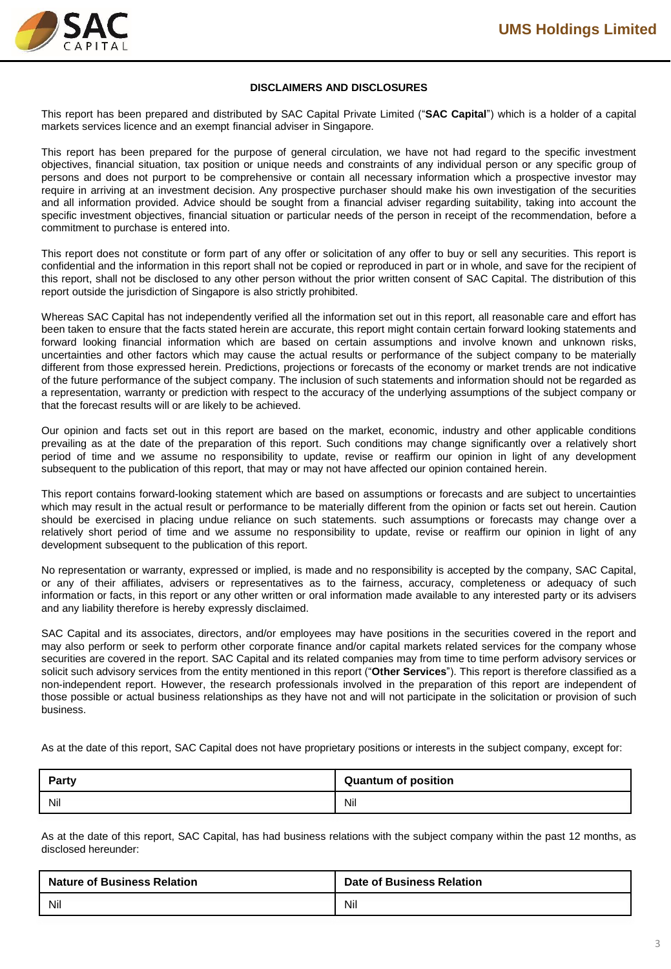

### **DISCLAIMERS AND DISCLOSURES**

This report has been prepared and distributed by SAC Capital Private Limited ("**SAC Capital**") which is a holder of a capital markets services licence and an exempt financial adviser in Singapore.

This report has been prepared for the purpose of general circulation, we have not had regard to the specific investment objectives, financial situation, tax position or unique needs and constraints of any individual person or any specific group of persons and does not purport to be comprehensive or contain all necessary information which a prospective investor may require in arriving at an investment decision. Any prospective purchaser should make his own investigation of the securities and all information provided. Advice should be sought from a financial adviser regarding suitability, taking into account the specific investment objectives, financial situation or particular needs of the person in receipt of the recommendation, before a commitment to purchase is entered into.

This report does not constitute or form part of any offer or solicitation of any offer to buy or sell any securities. This report is confidential and the information in this report shall not be copied or reproduced in part or in whole, and save for the recipient of this report, shall not be disclosed to any other person without the prior written consent of SAC Capital. The distribution of this report outside the jurisdiction of Singapore is also strictly prohibited.

Whereas SAC Capital has not independently verified all the information set out in this report, all reasonable care and effort has been taken to ensure that the facts stated herein are accurate, this report might contain certain forward looking statements and forward looking financial information which are based on certain assumptions and involve known and unknown risks, uncertainties and other factors which may cause the actual results or performance of the subject company to be materially different from those expressed herein. Predictions, projections or forecasts of the economy or market trends are not indicative of the future performance of the subject company. The inclusion of such statements and information should not be regarded as a representation, warranty or prediction with respect to the accuracy of the underlying assumptions of the subject company or that the forecast results will or are likely to be achieved.

Our opinion and facts set out in this report are based on the market, economic, industry and other applicable conditions prevailing as at the date of the preparation of this report. Such conditions may change significantly over a relatively short period of time and we assume no responsibility to update, revise or reaffirm our opinion in light of any development subsequent to the publication of this report, that may or may not have affected our opinion contained herein.

This report contains forward-looking statement which are based on assumptions or forecasts and are subject to uncertainties which may result in the actual result or performance to be materially different from the opinion or facts set out herein. Caution should be exercised in placing undue reliance on such statements. such assumptions or forecasts may change over a relatively short period of time and we assume no responsibility to update, revise or reaffirm our opinion in light of any development subsequent to the publication of this report.

No representation or warranty, expressed or implied, is made and no responsibility is accepted by the company, SAC Capital, or any of their affiliates, advisers or representatives as to the fairness, accuracy, completeness or adequacy of such information or facts, in this report or any other written or oral information made available to any interested party or its advisers and any liability therefore is hereby expressly disclaimed.

SAC Capital and its associates, directors, and/or employees may have positions in the securities covered in the report and may also perform or seek to perform other corporate finance and/or capital markets related services for the company whose securities are covered in the report. SAC Capital and its related companies may from time to time perform advisory services or solicit such advisory services from the entity mentioned in this report ("**Other Services**"). This report is therefore classified as a non-independent report. However, the research professionals involved in the preparation of this report are independent of those possible or actual business relationships as they have not and will not participate in the solicitation or provision of such business.

As at the date of this report, SAC Capital does not have proprietary positions or interests in the subject company, except for:

| <b>Party</b> | <b>Quantum of position</b> |
|--------------|----------------------------|
| Nil          | Nil                        |

As at the date of this report, SAC Capital, has had business relations with the subject company within the past 12 months, as disclosed hereunder:

| <b>Nature of Business Relation</b> | <b>Date of Business Relation</b> |
|------------------------------------|----------------------------------|
| Nil                                | Nil                              |